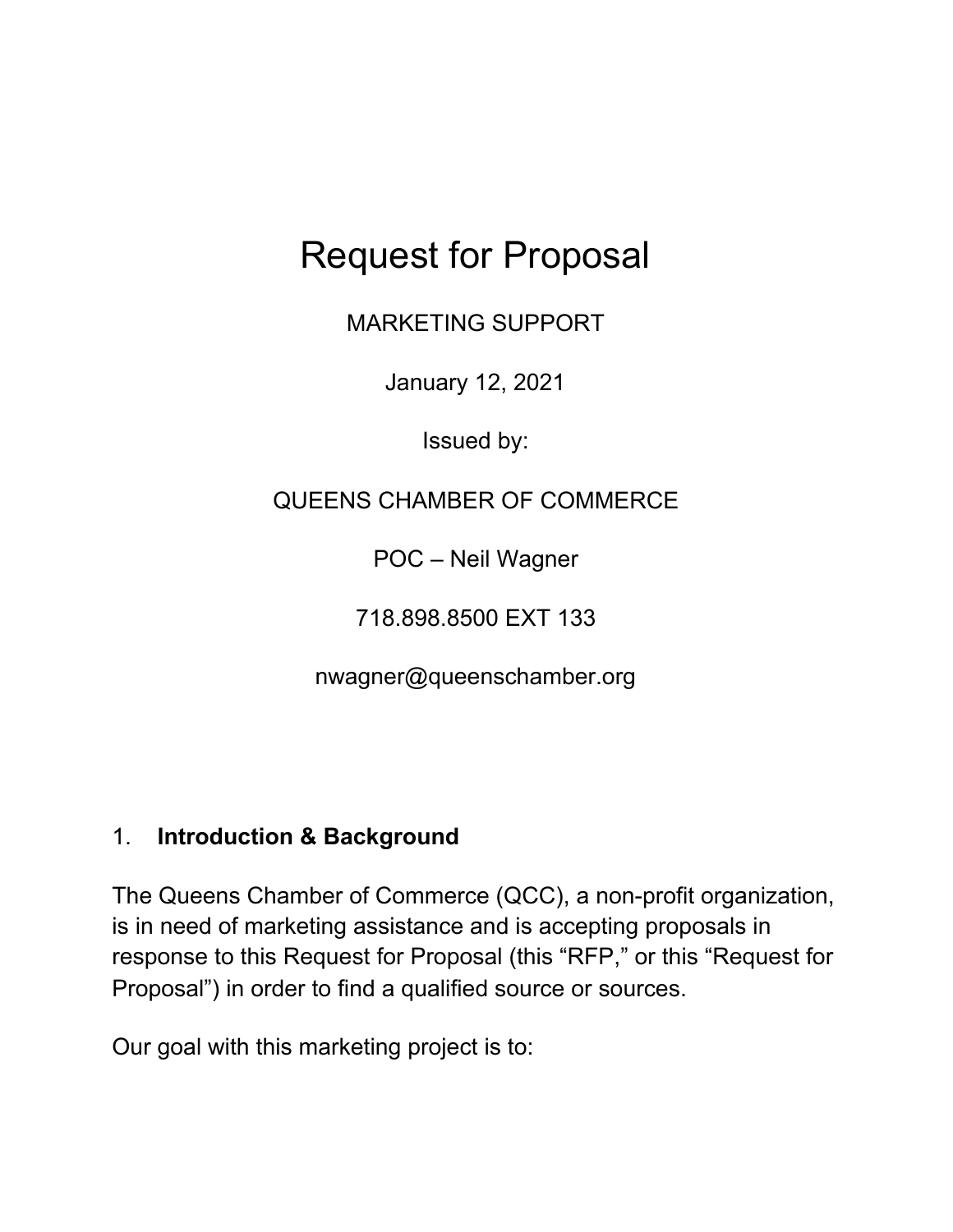# Request for Proposal

MARKETING SUPPORT

January 12, 2021

Issued by:

## QUEENS CHAMBER OF COMMERCE

POC – Neil Wagner

718.898.8500 EXT 133

nwagner@queenschamber.org

#### 1. **Introduction & Background**

The Queens Chamber of Commerce (QCC), a non-profit organization, is in need of marketing assistance and is accepting proposals in response to this Request for Proposal (this "RFP," or this "Request for Proposal") in order to find a qualified source or sources.

Our goal with this marketing project is to: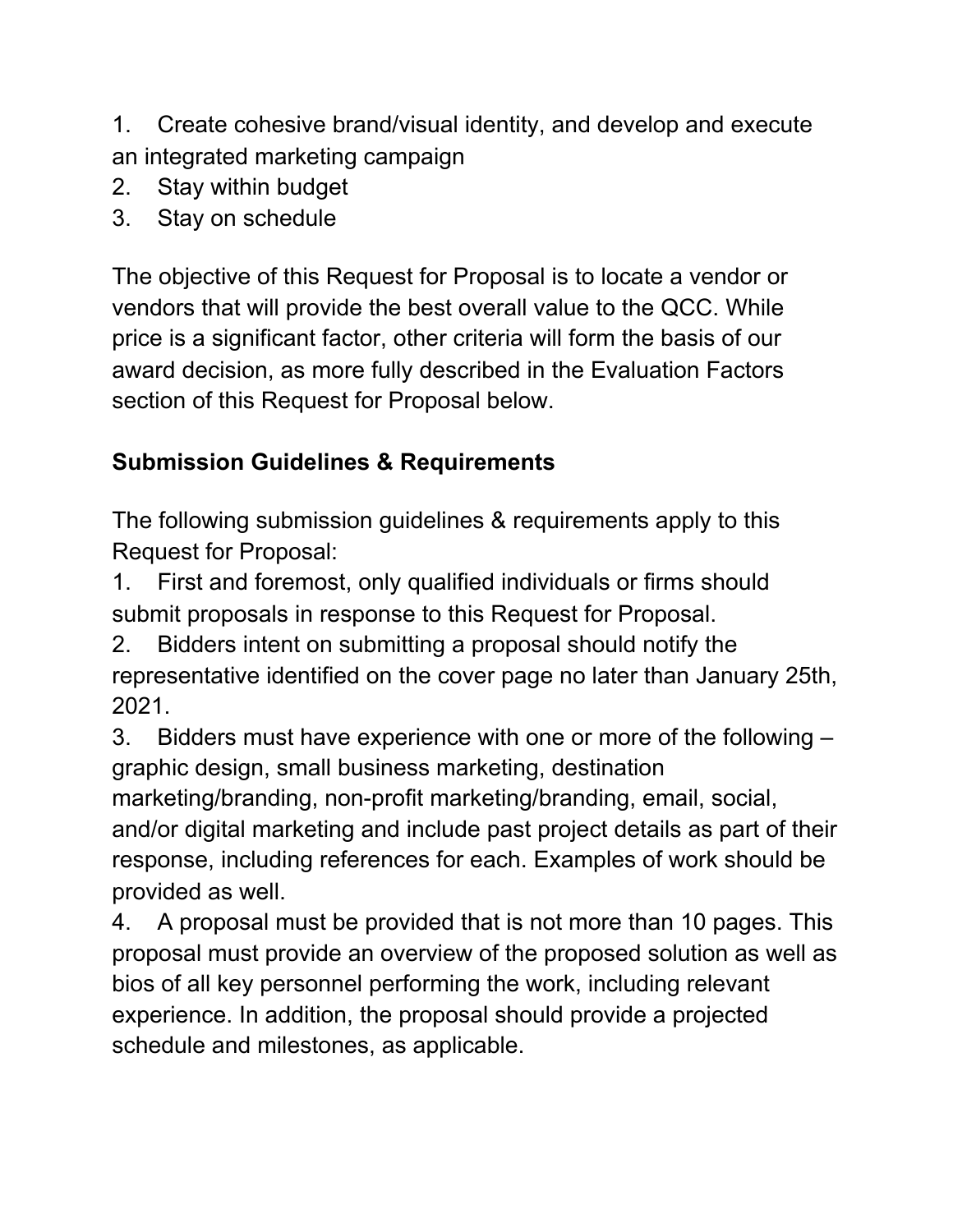1. Create cohesive brand/visual identity, and develop and execute an integrated marketing campaign

- 2. Stay within budget
- 3. Stay on schedule

The objective of this Request for Proposal is to locate a vendor or vendors that will provide the best overall value to the QCC. While price is a significant factor, other criteria will form the basis of our award decision, as more fully described in the Evaluation Factors section of this Request for Proposal below.

# **Submission Guidelines & Requirements**

The following submission guidelines & requirements apply to this Request for Proposal:

1. First and foremost, only qualified individuals or firms should submit proposals in response to this Request for Proposal.

2. Bidders intent on submitting a proposal should notify the representative identified on the cover page no later than January 25th, 2021.

3. Bidders must have experience with one or more of the following – graphic design, small business marketing, destination marketing/branding, non-profit marketing/branding, email, social, and/or digital marketing and include past project details as part of their response, including references for each. Examples of work should be provided as well.

4. A proposal must be provided that is not more than 10 pages. This proposal must provide an overview of the proposed solution as well as bios of all key personnel performing the work, including relevant experience. In addition, the proposal should provide a projected schedule and milestones, as applicable.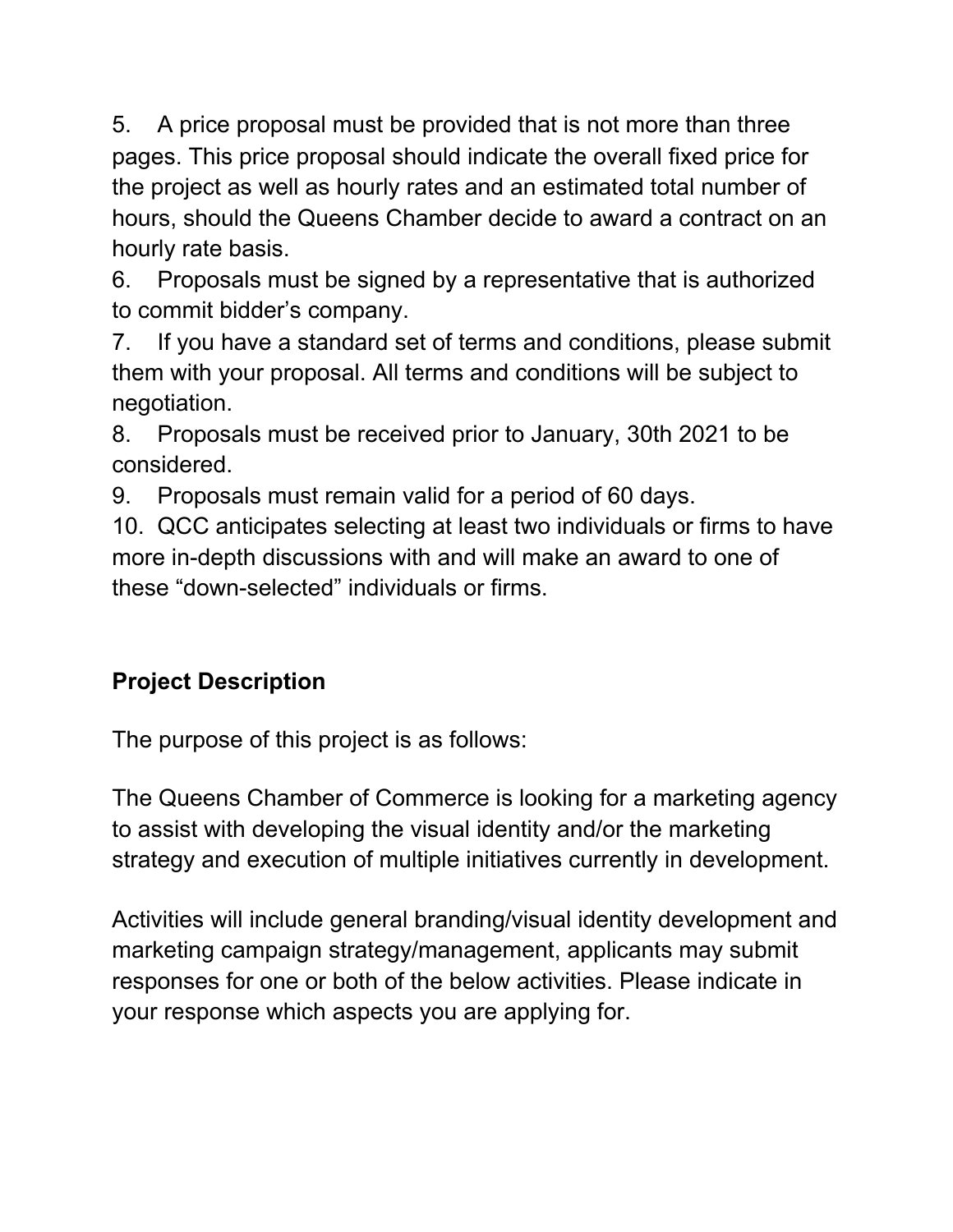5. A price proposal must be provided that is not more than three pages. This price proposal should indicate the overall fixed price for the project as well as hourly rates and an estimated total number of hours, should the Queens Chamber decide to award a contract on an hourly rate basis.

6. Proposals must be signed by a representative that is authorized to commit bidder's company.

7. If you have a standard set of terms and conditions, please submit them with your proposal. All terms and conditions will be subject to negotiation.

8. Proposals must be received prior to January, 30th 2021 to be considered.

9. Proposals must remain valid for a period of 60 days.

10. QCC anticipates selecting at least two individuals or firms to have more in-depth discussions with and will make an award to one of these "down-selected" individuals or firms.

# **Project Description**

The purpose of this project is as follows:

The Queens Chamber of Commerce is looking for a marketing agency to assist with developing the visual identity and/or the marketing strategy and execution of multiple initiatives currently in development.

Activities will include general branding/visual identity development and marketing campaign strategy/management, applicants may submit responses for one or both of the below activities. Please indicate in your response which aspects you are applying for.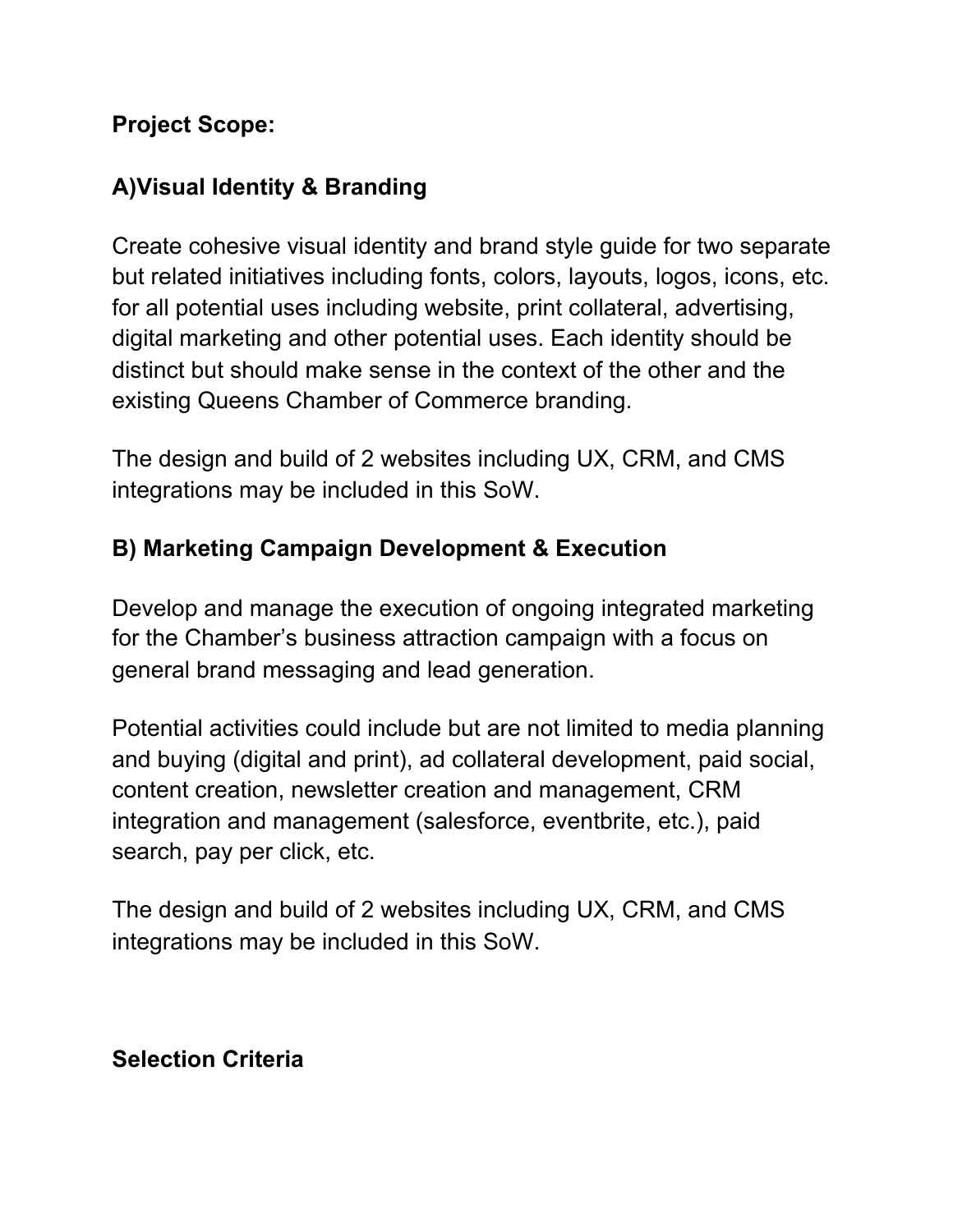## **Project Scope:**

# **A)Visual Identity & Branding**

Create cohesive visual identity and brand style guide for two separate but related initiatives including fonts, colors, layouts, logos, icons, etc. for all potential uses including website, print collateral, advertising, digital marketing and other potential uses. Each identity should be distinct but should make sense in the context of the other and the existing Queens Chamber of Commerce branding.

The design and build of 2 websites including UX, CRM, and CMS integrations may be included in this SoW.

# **B) Marketing Campaign Development & Execution**

Develop and manage the execution of ongoing integrated marketing for the Chamber's business attraction campaign with a focus on general brand messaging and lead generation.

Potential activities could include but are not limited to media planning and buying (digital and print), ad collateral development, paid social, content creation, newsletter creation and management, CRM integration and management (salesforce, eventbrite, etc.), paid search, pay per click, etc.

The design and build of 2 websites including UX, CRM, and CMS integrations may be included in this SoW.

# **Selection Criteria**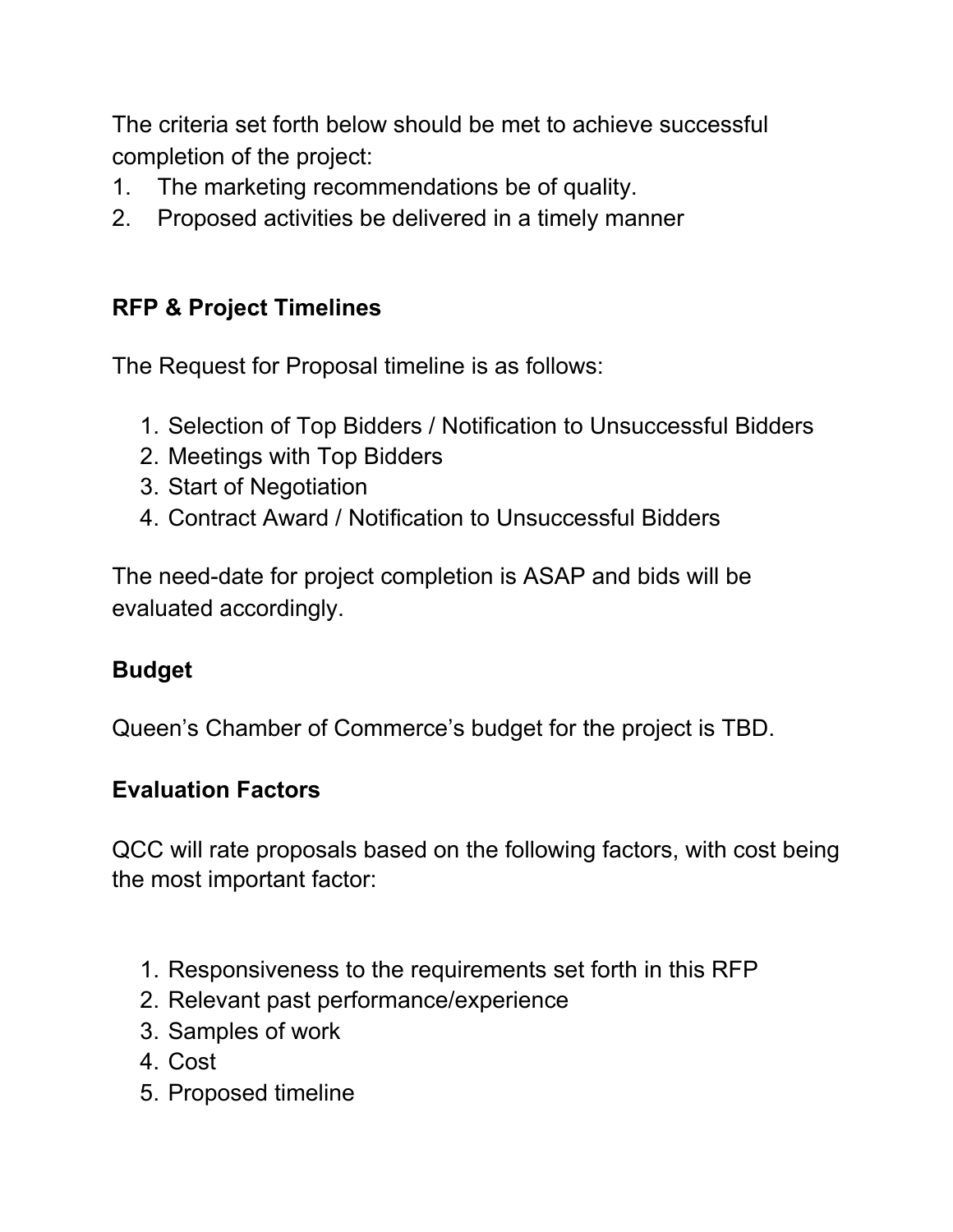The criteria set forth below should be met to achieve successful completion of the project:

- 1. The marketing recommendations be of quality.
- 2. Proposed activities be delivered in a timely manner

## **RFP & Project Timelines**

The Request for Proposal timeline is as follows:

- 1. Selection of Top Bidders / Notification to Unsuccessful Bidders
- 2. Meetings with Top Bidders
- 3. [Start](https://www.pandadoc.com/request-for-proposal-template/) of Negotiation
- 4. Contract Award / Notification to Unsuccessful Bidders

The need-date for project completion is ASAP and bids will be evaluated accordingly.

# **Budget**

Queen's Chamber of Commerce's budget for the project is TBD.

# **Evaluation Factors**

QCC will rate proposals based on the following factors, with cost being the most important factor:

- 1. Responsiveness to the requirements set forth in this RFP
- 2. Relevant past performance/experience
- 3. Samples of work
- 4. Cost
- 5. Proposed timeline